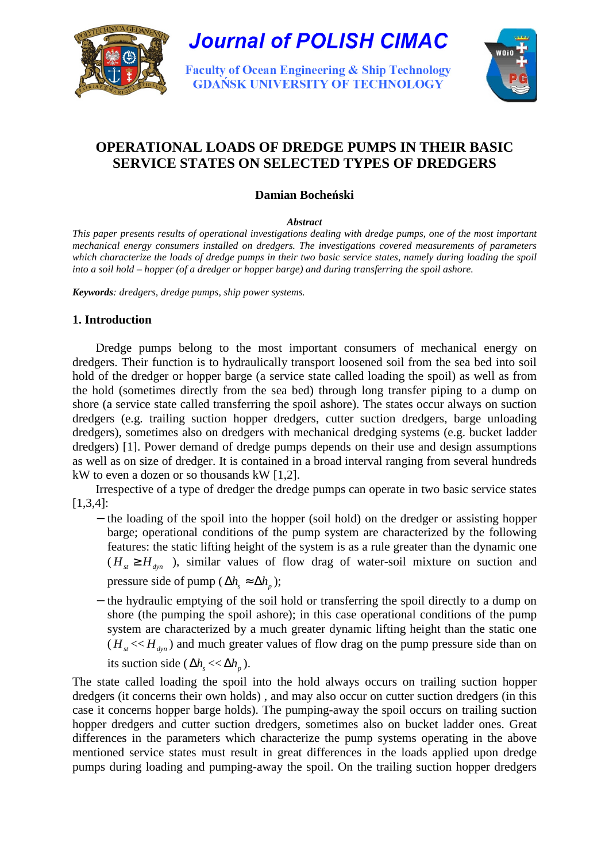

**Journal of POLISH CIMAC** 

**Faculty of Ocean Engineering & Ship Technology GDAŃSK UNIVERSITY OF TECHNOLOGY** 



# **OPERATIONAL LOADS OF DREDGE PUMPS IN THEIR BASIC SERVICE STATES ON SELECTED TYPES OF DREDGERS**

# **Damian Boche**ń**ski**

#### *Abstract*

*This paper presents results of operational investigations dealing with dredge pumps, one of the most important mechanical energy consumers installed on dredgers. The investigations covered measurements of parameters which characterize the loads of dredge pumps in their two basic service states, namely during loading the spoil into a soil hold – hopper (of a dredger or hopper barge) and during transferring the spoil ashore.* 

*Keywords: dredgers, dredge pumps, ship power systems.* 

## **1. Introduction**

Dredge pumps belong to the most important consumers of mechanical energy on dredgers. Their function is to hydraulically transport loosened soil from the sea bed into soil hold of the dredger or hopper barge (a service state called loading the spoil) as well as from the hold (sometimes directly from the sea bed) through long transfer piping to a dump on shore (a service state called transferring the spoil ashore). The states occur always on suction dredgers (e.g. trailing suction hopper dredgers, cutter suction dredgers, barge unloading dredgers), sometimes also on dredgers with mechanical dredging systems (e.g. bucket ladder dredgers) [1]. Power demand of dredge pumps depends on their use and design assumptions as well as on size of dredger. It is contained in a broad interval ranging from several hundreds kW to even a dozen or so thousands kW [1,2].

Irrespective of a type of dredger the dredge pumps can operate in two basic service states [1,3,4]:

- − the loading of the spoil into the hopper (soil hold) on the dredger or assisting hopper barge; operational conditions of the pump system are characterized by the following features: the static lifting height of the system is as a rule greater than the dynamic one  $(H<sub>st</sub> \ge H<sub>dyn</sub>)$ , similar values of flow drag of water-soil mixture on suction and pressure side of pump ( $\Delta h$ <sub>c</sub>  $\approx \Delta h$ <sub>n</sub>);
- − the hydraulic emptying of the soil hold or transferring the spoil directly to a dump on shore (the pumping the spoil ashore); in this case operational conditions of the pump system are characterized by a much greater dynamic lifting height than the static one  $(H_{st} \ll H_{dyn})$  and much greater values of flow drag on the pump pressure side than on

its suction side ( $\Delta h_s \ll \Delta h_p$ ).

The state called loading the spoil into the hold always occurs on trailing suction hopper dredgers (it concerns their own holds) , and may also occur on cutter suction dredgers (in this case it concerns hopper barge holds). The pumping-away the spoil occurs on trailing suction hopper dredgers and cutter suction dredgers, sometimes also on bucket ladder ones. Great differences in the parameters which characterize the pump systems operating in the above mentioned service states must result in great differences in the loads applied upon dredge pumps during loading and pumping-away the spoil. On the trailing suction hopper dredgers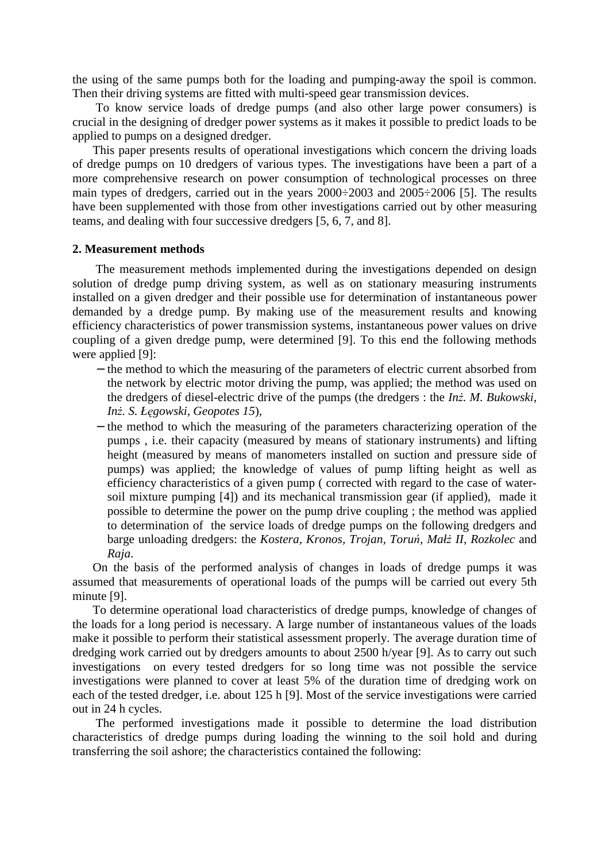the using of the same pumps both for the loading and pumping-away the spoil is common. Then their driving systems are fitted with multi-speed gear transmission devices.

To know service loads of dredge pumps (and also other large power consumers) is crucial in the designing of dredger power systems as it makes it possible to predict loads to be applied to pumps on a designed dredger.

This paper presents results of operational investigations which concern the driving loads of dredge pumps on 10 dredgers of various types. The investigations have been a part of a more comprehensive research on power consumption of technological processes on three main types of dredgers, carried out in the years 2000÷2003 and 2005÷2006 [5]. The results have been supplemented with those from other investigations carried out by other measuring teams, and dealing with four successive dredgers [5, 6, 7, and 8].

#### **2. Measurement methods**

The measurement methods implemented during the investigations depended on design solution of dredge pump driving system, as well as on stationary measuring instruments installed on a given dredger and their possible use for determination of instantaneous power demanded by a dredge pump. By making use of the measurement results and knowing efficiency characteristics of power transmission systems, instantaneous power values on drive coupling of a given dredge pump, were determined [9]. To this end the following methods were applied [9]:

- − the method to which the measuring of the parameters of electric current absorbed from the network by electric motor driving the pump, was applied; the method was used on the dredgers of diesel-electric drive of the pumps (the dredgers : the *Inż*. *M. Bukowski*, *In*Ŝ*. S. Ł*ę*gowski, Geopotes 15*),
- − the method to which the measuring of the parameters characterizing operation of the pumps , i.e. their capacity (measured by means of stationary instruments) and lifting height (measured by means of manometers installed on suction and pressure side of pumps) was applied; the knowledge of values of pump lifting height as well as efficiency characteristics of a given pump ( corrected with regard to the case of watersoil mixture pumping [4]) and its mechanical transmission gear (if applied), made it possible to determine the power on the pump drive coupling ; the method was applied to determination of the service loads of dredge pumps on the following dredgers and barge unloading dredgers: the *Kostera, Kronos, Trojan, Toruń, Małż II, Rozkolec* and *Raja*.

On the basis of the performed analysis of changes in loads of dredge pumps it was assumed that measurements of operational loads of the pumps will be carried out every 5th minute [9].

To determine operational load characteristics of dredge pumps, knowledge of changes of the loads for a long period is necessary. A large number of instantaneous values of the loads make it possible to perform their statistical assessment properly. The average duration time of dredging work carried out by dredgers amounts to about 2500 h/year [9]. As to carry out such investigations on every tested dredgers for so long time was not possible the service investigations were planned to cover at least 5% of the duration time of dredging work on each of the tested dredger, i.e. about 125 h [9]. Most of the service investigations were carried out in 24 h cycles.

The performed investigations made it possible to determine the load distribution characteristics of dredge pumps during loading the winning to the soil hold and during transferring the soil ashore; the characteristics contained the following: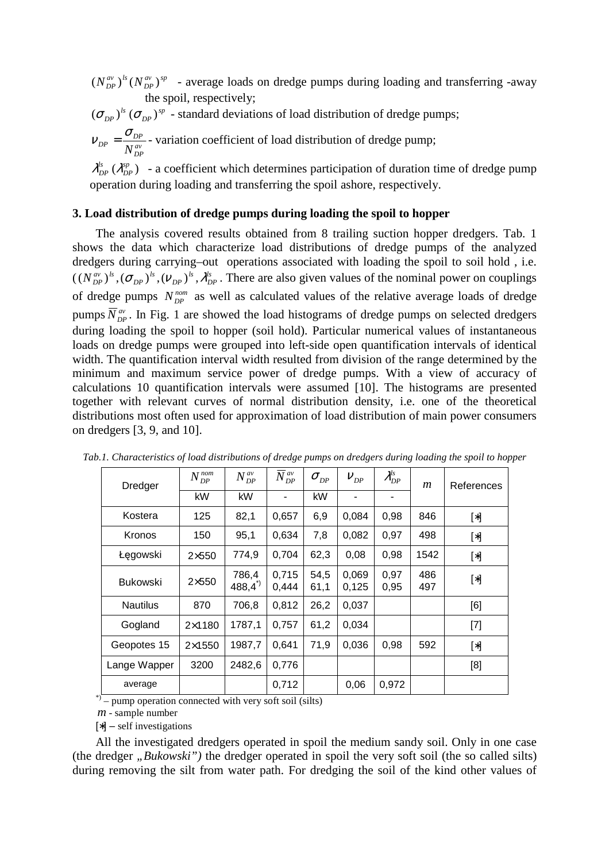*av sp*  $(N_{DP}^{av})^{ls}(N_{DP}^{av})^{sp}$  - average loads on dredge pumps during loading and transferring -away the spoil, respectively;

$$
(\sigma_{DP})^{\text{ls}} (\sigma_{DP})^{\text{sp}}
$$
 - standard deviations of load distribution of dredge pumps;

$$
V_{DP} = \frac{\sigma_{DP}}{N_{DP}^{av}}
$$
 variation coefficient of load distribution of dredge pump;

 $(\lambda_{DP}^{sp})$  $\lambda_{DP}^{ls}$  ( $\lambda_{DP}^{sp}$ ) - a coefficient which determines participation of duration time of dredge pump operation during loading and transferring the spoil ashore, respectively.

### **3. Load distribution of dredge pumps during loading the spoil to hopper**

The analysis covered results obtained from 8 trailing suction hopper dredgers. Tab. 1 shows the data which characterize load distributions of dredge pumps of the analyzed dredgers during carrying–out operations associated with loading the spoil to soil hold , i.e.  $\left(\, \left( N_{\,DP}^{\,av} \right)^{ls}, \left( \sigma_{\,DP} \right)^{ls}, \left( \nu_{\,DP} \right)^{ls}, \lambda_{\,P}^{ls} \,$ *DP ls DP ls*  $(N_{DP}^{av})^{ls}$ ,  $(\sigma_{DP})^{ls}$ ,  $(V_{DP})^{ls}$ ,  $\lambda_{DP}^{ls}$ . There are also given values of the nominal power on couplings of dredge pumps  $N_{DP}^{nom}$  as well as calculated values of the relative average loads of dredge pumps  $\overline{N}_{DP}^{av}$ . In Fig. 1 are showed the load histograms of dredge pumps on selected dredgers during loading the spoil to hopper (soil hold). Particular numerical values of instantaneous loads on dredge pumps were grouped into left-side open quantification intervals of identical width. The quantification interval width resulted from division of the range determined by the minimum and maximum service power of dredge pumps. With a view of accuracy of calculations 10 quantification intervals were assumed [10]. The histograms are presented together with relevant curves of normal distribution density, i.e. one of the theoretical distributions most often used for approximation of load distribution of main power consumers on dredgers [3, 9, and 10].

| Dredger         | $N_{\rm\scriptscriptstyle{DP}}^{\rm\scriptscriptstyle nom}$<br>DP | $N_{DP}^{av}$              | $\overline{N}_{DP}^{av}$ | $\sigma_{_{DP}}$ | $V_{DP}$       | $\mathcal{\lambda}_{DP}^{ls}$ | $\mathfrak{m}$ | References |
|-----------------|-------------------------------------------------------------------|----------------------------|--------------------------|------------------|----------------|-------------------------------|----------------|------------|
|                 | kW                                                                | kW                         |                          | kW               |                |                               |                |            |
| Kostera         | 125                                                               | 82,1                       | 0,657                    | 6,9              | 0,084          | 0,98                          | 846            | $[\ast]$   |
| Kronos          | 150                                                               | 95,1                       | 0,634                    | 7,8              | 0,082          | 0,97                          | 498            | $[\ast]$   |
| Łęgowski        | $2\times 550$                                                     | 774,9                      | 0,704                    | 62,3             | 0.08           | 0,98                          | 1542           | $[\ast]$   |
| <b>Bukowski</b> | $2\times550$                                                      | 786,4<br>$488,4^{\degree}$ | 0,715<br>0,444           | 54,5<br>61,1     | 0.069<br>0,125 | 0.97<br>0,95                  | 486<br>497     | $[\ast]$   |
| <b>Nautilus</b> | 870                                                               | 706,8                      | 0,812                    | 26,2             | 0,037          |                               |                | [6]        |
| Gogland         | $2\times1180$                                                     | 1787,1                     | 0,757                    | 61,2             | 0,034          |                               |                | $[7]$      |
| Geopotes 15     | $2\times1550$                                                     | 1987,7                     | 0,641                    | 71,9             | 0,036          | 0,98                          | 592            | $[\ast]$   |
| Lange Wapper    | 3200                                                              | 2482,6                     | 0,776                    |                  |                |                               |                | [8]        |
| average         |                                                                   |                            | 0,712                    |                  | 0,06           | 0,972                         |                |            |

*Tab.1. Characteristics of load distributions of dredge pumps on dredgers during loading the spoil to hopper* 

\*) – pump operation connected with very soft soil (silts)

*m* - sample number

[∗] – self investigations

All the investigated dredgers operated in spoil the medium sandy soil. Only in one case (the dredger *"Bukowski*") the dredger operated in spoil the very soft soil (the so called silts) during removing the silt from water path. For dredging the soil of the kind other values of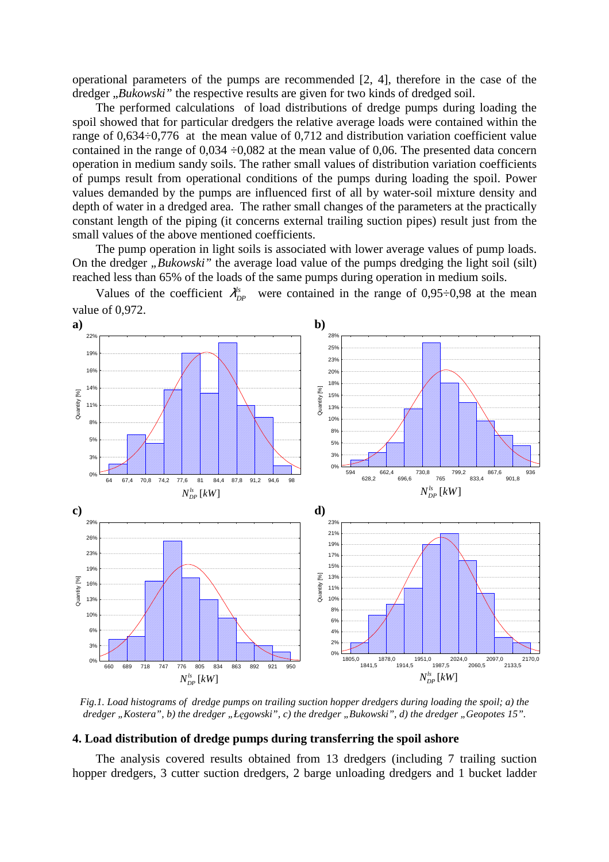operational parameters of the pumps are recommended [2, 4], therefore in the case of the dredger "*Bukowski*" the respective results are given for two kinds of dredged soil.

The performed calculations of load distributions of dredge pumps during loading the spoil showed that for particular dredgers the relative average loads were contained within the range of 0,634÷0,776 at the mean value of 0,712 and distribution variation coefficient value contained in the range of  $0.034 \div 0.082$  at the mean value of 0,06. The presented data concern operation in medium sandy soils. The rather small values of distribution variation coefficients of pumps result from operational conditions of the pumps during loading the spoil. Power values demanded by the pumps are influenced first of all by water-soil mixture density and depth of water in a dredged area. The rather small changes of the parameters at the practically constant length of the piping (it concerns external trailing suction pipes) result just from the small values of the above mentioned coefficients.

The pump operation in light soils is associated with lower average values of pump loads. On the dredger *"Bukowski*" the average load value of the pumps dredging the light soil (silt) reached less than 65% of the loads of the same pumps during operation in medium soils.

Values of the coefficient  $\lambda_{DP}^{ls}$  were contained in the range of 0,95÷0,98 at the mean value of 0,972.



*Fig.1. Load histograms of dredge pumps on trailing suction hopper dredgers during loading the spoil; a) the dredger* "Kostera", b) the dredger "Łęgowski", c) the dredger "Bukowski", d) the dredger "Geopotes 15".

#### **4. Load distribution of dredge pumps during transferring the spoil ashore**

The analysis covered results obtained from 13 dredgers (including 7 trailing suction hopper dredgers, 3 cutter suction dredgers, 2 barge unloading dredgers and 1 bucket ladder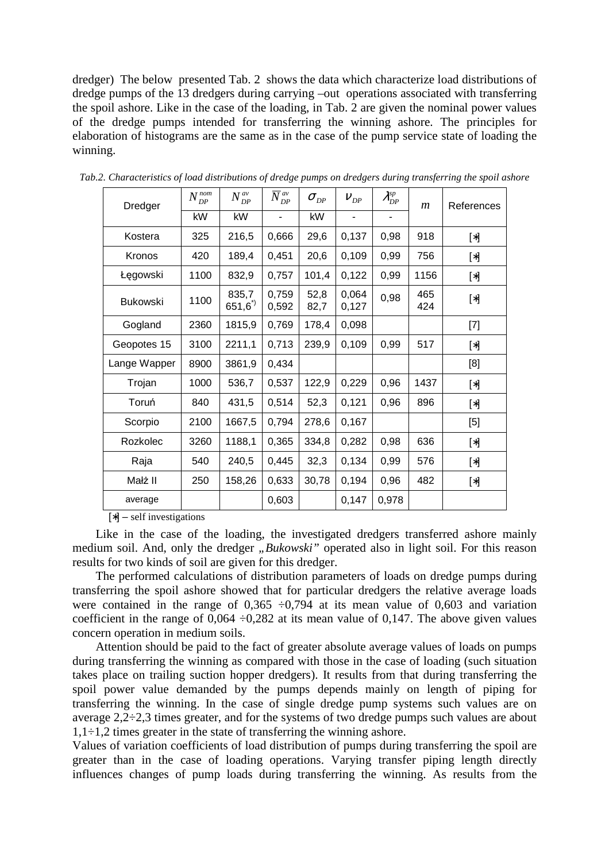dredger) The below presented Tab. 2 shows the data which characterize load distributions of dredge pumps of the 13 dredgers during carrying –out operations associated with transferring the spoil ashore. Like in the case of the loading, in Tab. 2 are given the nominal power values of the dredge pumps intended for transferring the winning ashore. The principles for elaboration of histograms are the same as in the case of the pump service state of loading the winning.

| Dredger         | $N_{DP}^{nom}$ | $N_{DP}^{av}$             | $\bar N_{\scriptscriptstyle DP}^{\scriptscriptstyle\mathit{av}}$ | $\sigma_{_{DP}}$ | $V_{DP}$                 | $\lambda_{DP}^{sp}$      | $\mathfrak{m}$ | References                                                                                                                                                                                                                                                                                                                                                                                                                                                                                                                                                                                                                                                                                                          |
|-----------------|----------------|---------------------------|------------------------------------------------------------------|------------------|--------------------------|--------------------------|----------------|---------------------------------------------------------------------------------------------------------------------------------------------------------------------------------------------------------------------------------------------------------------------------------------------------------------------------------------------------------------------------------------------------------------------------------------------------------------------------------------------------------------------------------------------------------------------------------------------------------------------------------------------------------------------------------------------------------------------|
|                 | kW             | kW                        | $\overline{\phantom{a}}$                                         | kW               | $\overline{\phantom{a}}$ | $\overline{\phantom{0}}$ |                |                                                                                                                                                                                                                                                                                                                                                                                                                                                                                                                                                                                                                                                                                                                     |
| Kostera         | 325            | 216,5                     | 0,666                                                            | 29,6             | 0,137                    | 0,98                     | 918            | $[\ast] % \begin{center} % \includegraphics[width=\linewidth]{imagesSupplemental_3.png} % \end{center} % \caption { % Our method can be used for the use of the image. % Note that the \emph{Re}(X) is the same number of times, and the \emph{Re}(X) is the same number of times. % \label{fig:Re}(X) is the same number of times, and the \emph{Re}(X) is the same number of times. % \label{fig:Re}(X) is the same number of times. % \label{fig:Re}(X) is the same number of times. % \label{fig:Re}(X) is the same number of times. % \label{fig:Re}(X) is the same number of times. % \label{fig:Re}(X) is the same number of times. % \label{fig:Re}(X) is the same number of times$                         |
| Kronos          | 420            | 189,4                     | 0,451                                                            | 20,6             | 0,109                    | 0,99                     | 756            | $[\ast] % \begin{center} % \includegraphics[width=\linewidth]{imagesSupplemental_3.png} % \end{center} % \caption { % Our method can be used for the use of the image. % Note that the \emph{Re}(X) is the same number of times, and the \emph{Re}(X) is the same number of times. % \label{fig:Re}(X) is the same number of times, and the \emph{Re}(X) is the same number of times. % \label{fig:Re}(X) is the same number of times. % \label{fig:Re}(X) is the same number of times. % \label{fig:Re}(X) is the same number of times. % \label{fig:Re}(X) is the same number of times. % \label{fig:Re}(X) is the same number of times. % \label{fig:Re}(X) is the same number of times$                         |
| Łęgowski        | 1100           | 832,9                     | 0,757                                                            | 101,4            | 0,122                    | 0,99                     | 1156           | $[\ast] % \begin{center} % \includegraphics[width=\linewidth]{imagesSupplemental_3.png} % \end{center} % \caption { % Our method can be used for the use of the image. % Note that the \emph{Re}(X) is the same number of the image. % Note that the \emph{Re}(X) is the same number of the image. % Note that the \emph{Re}(X) is the same number of the image. % Note that the \emph{Re}(X) is the same number of the image. % Note that the \emph{Re}(X) is the same number of the image. % Note that the \emph{Re}(X) is the same number of the image. % Note that the \emph{Re}(X) is the same number of the image. % Note that the \emph{Re}(X) is the same number of the image. % Note that the \emph{Re}(X$ |
| <b>Bukowski</b> | 1100           | 835,7<br>$651,6^{\prime}$ | 0,759<br>0,592                                                   | 52,8<br>82,7     | 0,064<br>0,127           | 0,98                     | 465<br>424     | $[\ast] % \begin{center} % \includegraphics[width=\linewidth]{imagesSupplemental_3.png} % \end{center} % \caption { % Our method can be used for the use of the image. % Note that the \emph{Re}(X) is the same number of times, and the \emph{Re}(X) is the same number of times. % \label{fig:Re}(X) is the same number of times, and the \emph{Re}(X) is the same number of times. % \label{fig:Re}(X) is the same number of times. % \label{fig:Re}(X) is the same number of times. % \label{fig:Re}(X) is the same number of times. % \label{fig:Re}(X) is the same number of times. % \label{fig:Re}(X) is the same number of times. % \label{fig:Re}(X) is the same number of times$                         |
| Gogland         | 2360           | 1815,9                    | 0,769                                                            | 178,4            | 0,098                    |                          |                | $[7]$                                                                                                                                                                                                                                                                                                                                                                                                                                                                                                                                                                                                                                                                                                               |
| Geopotes 15     | 3100           | 2211,1                    | 0,713                                                            | 239,9            | 0,109                    | 0,99                     | 517            | $[\ast] % \begin{center} % \includegraphics[width=\linewidth]{imagesSupplemental_3.png} % \end{center} % \caption { % Our method can be used for the use of the image. % Note that the \emph{Re}(X) is the same number of the image. % Note that the \emph{Re}(X) is the same number of the image. % Note that the \emph{Re}(X) is the same number of the image. % Note that the \emph{Re}(X) is the same number of the image. % Note that the \emph{Re}(X) is the same number of the image. % Note that the \emph{Re}(X) is the same number of the image. % Note that the \emph{Re}(X) is the same number of the image. % Note that the \emph{Re}(X) is the same number of the image. % Note that the \emph{Re}(X$ |
| Lange Wapper    | 8900           | 3861,9                    | 0,434                                                            |                  |                          |                          |                | [8]                                                                                                                                                                                                                                                                                                                                                                                                                                                                                                                                                                                                                                                                                                                 |
| Trojan          | 1000           | 536,7                     | 0,537                                                            | 122,9            | 0,229                    | 0,96                     | 1437           | $[\ast] % \begin{center} % \includegraphics[width=\linewidth]{imagesSupplemental_3.png} % \end{center} % \caption { % Our method can be used for the use of the image. % Note that the \emph{Re}(X) is the same number of the image. % Note that the \emph{Re}(X) is the same number of the image. % Note that the \emph{Re}(X) is the same number of the image. % Note that the \emph{Re}(X) is the same number of the image. % Note that the \emph{Re}(X) is the same number of the image. % Note that the \emph{Re}(X) is the same number of the image. % Note that the \emph{Re}(X) is the same number of the image. % Note that the \emph{Re}(X) is the same number of the image. % Note that the \emph{Re}(X$ |
| Toruń           | 840            | 431,5                     | 0,514                                                            | 52,3             | 0,121                    | 0,96                     | 896            | $[\ast] % \begin{center} % \includegraphics[width=\linewidth]{imagesSupplemental_3.png} % \end{center} % \caption { % Our method can be used for the use of the image. % Note that the \emph{Re}(X) is the same number of times, and the \emph{Re}(X) is the same number of times. % \label{fig:Re}(X) is the same number of times, and the \emph{Re}(X) is the same number of times. % \label{fig:Re}(X) is the same number of times. % \label{fig:Re}(X) is the same number of times. % \label{fig:Re}(X) is the same number of times. % \label{fig:Re}(X) is the same number of times. % \label{fig:Re}(X) is the same number of times. % \label{fig:Re}(X) is the same number of times$                         |
| Scorpio         | 2100           | 1667,5                    | 0,794                                                            | 278,6            | 0,167                    |                          |                | [5]                                                                                                                                                                                                                                                                                                                                                                                                                                                                                                                                                                                                                                                                                                                 |
| Rozkolec        | 3260           | 1188,1                    | 0,365                                                            | 334,8            | 0,282                    | 0,98                     | 636            | $[\ast] % \begin{center} % \includegraphics[width=\linewidth]{imagesSupplemental_3.png} % \end{center} % \caption { % Our method can be used for the use of the image. % Note that the \emph{Re}(X) is the same number of times, and the \emph{Re}(X) is the same number of times. % \label{fig:Re}(X) is the same number of times, and the \emph{Re}(X) is the same number of times. % \label{fig:Re}(X) is the same number of times. % \label{fig:Re}(X) is the same number of times. % \label{fig:Re}(X) is the same number of times. % \label{fig:Re}(X) is the same number of times. % \label{fig:Re}(X) is the same number of times. % \label{fig:Re}(X) is the same number of times$                         |
| Raja            | 540            | 240,5                     | 0,445                                                            | 32,3             | 0,134                    | 0,99                     | 576            | $[\ast] % \begin{center} % \includegraphics[width=\linewidth]{imagesSupplemental_3.png} % \end{center} % \caption { % Our method can be used for the use of the image. % Note that the \emph{Re}(X) is the same number of the image. % Note that the \emph{Re}(X) is the same number of the image. % Note that the \emph{Re}(X) is the same number of the image. % Note that the \emph{Re}(X) is the same number of the image. % Note that the \emph{Re}(X) is the same number of the image. % Note that the \emph{Re}(X) is the same number of the image. % Note that the \emph{Re}(X) is the same number of the image. % Note that the \emph{Re}(X) is the same number of the image. % Note that the \emph{Re}(X$ |
| Małż II         | 250            | 158,26                    | 0,633                                                            | 30,78            | 0,194                    | 0,96                     | 482            | $[\ast] % \centering \includegraphics[width=0.9\columnwidth]{figures/fig_10.pdf} \caption{The graph $\mathcal{N}_1$ is a function of the number of~\textit{N}_1$ and the number of~\textit{N}_2$ is a function of the number of~\textit{N}_1$ (left) and the number of~\textit{N}_2$ (right).} \label{fig:1}$                                                                                                                                                                                                                                                                                                                                                                                                       |
| average         |                |                           | 0,603                                                            |                  | 0,147                    | 0,978                    |                |                                                                                                                                                                                                                                                                                                                                                                                                                                                                                                                                                                                                                                                                                                                     |

*Tab.2. Characteristics of load distributions of dredge pumps on dredgers during transferring the spoil ashore*

[∗] – self investigations

Like in the case of the loading, the investigated dredgers transferred ashore mainly medium soil. And, only the dredger *"Bukowski"* operated also in light soil. For this reason results for two kinds of soil are given for this dredger.

The performed calculations of distribution parameters of loads on dredge pumps during transferring the spoil ashore showed that for particular dredgers the relative average loads were contained in the range of  $0,365 \div 0,794$  at its mean value of 0,603 and variation coefficient in the range of  $0,064 \div 0,282$  at its mean value of 0,147. The above given values concern operation in medium soils.

Attention should be paid to the fact of greater absolute average values of loads on pumps during transferring the winning as compared with those in the case of loading (such situation takes place on trailing suction hopper dredgers). It results from that during transferring the spoil power value demanded by the pumps depends mainly on length of piping for transferring the winning. In the case of single dredge pump systems such values are on average 2,2÷2,3 times greater, and for the systems of two dredge pumps such values are about  $1,1\div 1,2$  times greater in the state of transferring the winning ashore.

Values of variation coefficients of load distribution of pumps during transferring the spoil are greater than in the case of loading operations. Varying transfer piping length directly influences changes of pump loads during transferring the winning. As results from the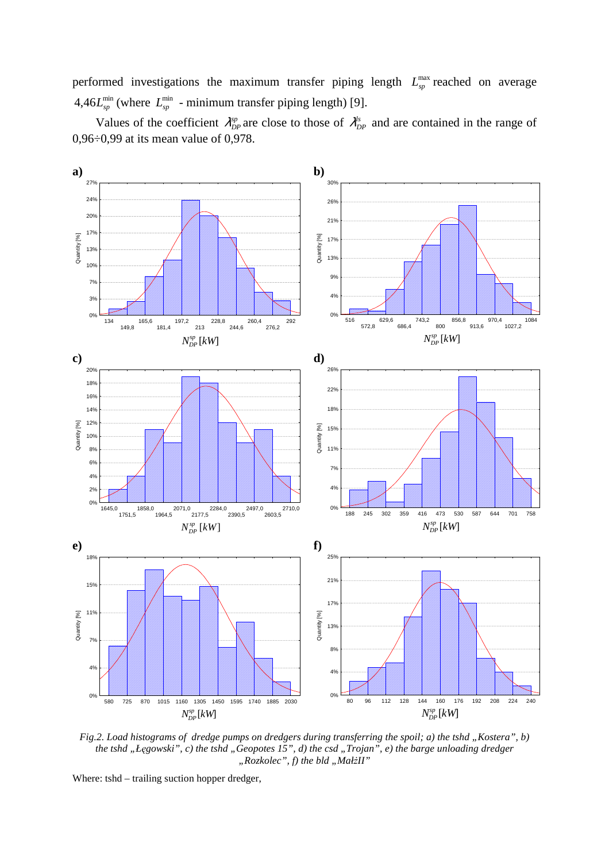performed investigations the maximum transfer piping length  $L_{\text{sp}}^{\text{max}}$  reached on average 4,46 $L_{sp}^{\min}$  (where  $L_{sp}^{\min}$  - minimum transfer piping length) [9].

Values of the coefficient  $\lambda_{DP}^{sp}$  are close to those of  $\lambda_{DP}^{ls}$  and are contained in the range of 0,96÷0,99 at its mean value of 0,978.



*Fig.2. Load histograms of dredge pumps on dredgers during transferring the spoil; a) the tshd "Kostera", b) the tshd "Łęgowski", c) the tshd "Geopotes 15", d) the csd "Trojan", e) the barge unloading dredger* "Rozkolec", f) the bld "MałżII"

Where: tshd – trailing suction hopper dredger,